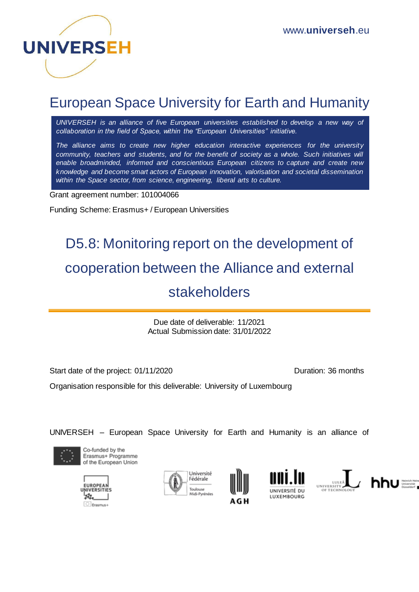

## European Space University for Earth and Humanity

*UNIVERSEH is an alliance of five European universities established to develop a new way of collaboration in the field of Space, within the "European Universities" initiative.*

*The alliance aims to create new higher education interactive experiences for the university community, teachers and students, and for the benefit of society as a whole. Such initiatives will enable broadminded, informed and conscientious European citizens to capture and create new knowledge and become smart actors of European innovation, valorisation and societal dissemination within the Space sector, from science, engineering, liberal arts to culture.*

Grant agreement number: 101004066

Funding Scheme: Erasmus+ / European Universities

# D5.8: Monitoring report on the development of cooperation between the Alliance and external stakeholders

Due date of deliverable: 11/2021 Actual Submission date: 31/01/2022

Start date of the project: 01/11/2020 Duration: 36 months

Organisation responsible for this deliverable: University of Luxembourg

UNIVERSEH – European Space University for Earth and Humanity is an alliance of













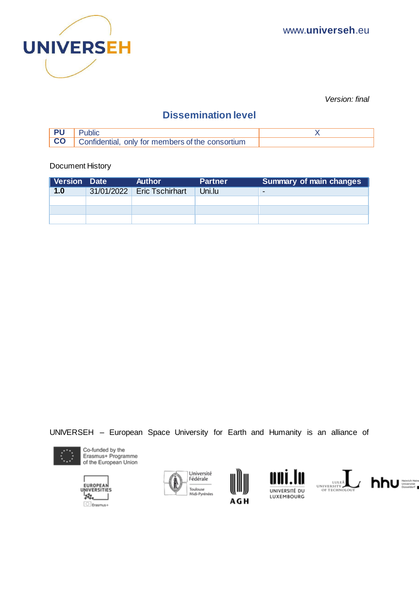

*Version: final* 

### **Dissemination level**

| <b>PU</b> Public                                             |  |
|--------------------------------------------------------------|--|
| <b>CO</b>   Confidential, only for members of the consortium |  |

Document History

| <b>Version Date</b> | <b>Author</b>              | <b>Partner</b> | <b>Summary of main changes</b> |
|---------------------|----------------------------|----------------|--------------------------------|
| 1.0                 | 31/01/2022 Eric Tschirhart | Uni.lu         | $\sim$                         |
|                     |                            |                |                                |
|                     |                            |                |                                |
|                     |                            |                |                                |

UNIVERSEH – European Space University for Earth and Humanity is an alliance of













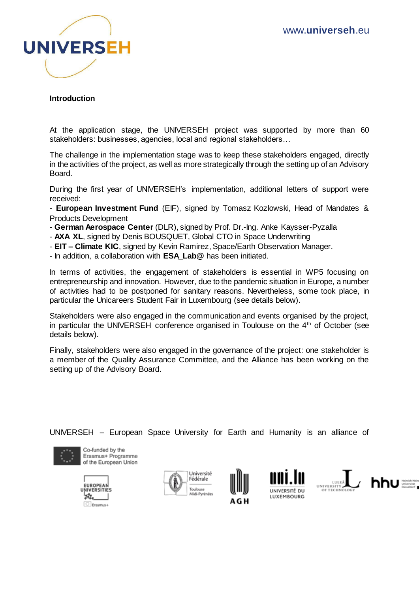

#### **Introduction**

At the application stage, the UNIVERSEH project was supported by more than 60 stakeholders: businesses, agencies, local and regional stakeholders…

The challenge in the implementation stage was to keep these stakeholders engaged, directly in the activities of the project, as well as more strategically through the setting up of an Advisory Board.

During the first year of UNIVERSEH's implementation, additional letters of support were received:

- **European Investment Fund** (EIF), signed by Tomasz Kozlowski, Head of Mandates & Products Development

- **German Aerospace Center** (DLR), signed by Prof. Dr.-Ing. Anke Kaysser-Pyzalla
- **AXA XL**, signed by Denis BOUSQUET, Global CTO in Space Underwriting
- **EIT – Climate KIC**, signed by Kevin Ramirez, Space/Earth Observation Manager.
- In addition, a collaboration with **ESA\_Lab@** has been initiated.

In terms of activities, the engagement of stakeholders is essential in WP5 focusing on entrepreneurship and innovation. However, due to the pandemic situation in Europe, a number of activities had to be postponed for sanitary reasons. Nevertheless, some took place, in particular the Unicareers Student Fair in Luxembourg (see details below).

Stakeholders were also engaged in the communication and events organised by the project, in particular the UNIVERSEH conference organised in Toulouse on the 4th of October (see details below).

Finally, stakeholders were also engaged in the governance of the project: one stakeholder is a member of the Quality Assurance Committee, and the Alliance has been working on the setting up of the Advisory Board.

UNIVERSEH – European Space University for Earth and Humanity is an alliance of













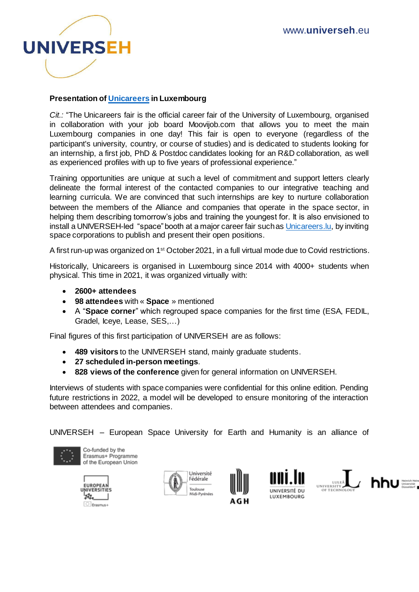

#### **Presentation of [Unicareers](https://en.moovijob.com/events/unicareers) in Luxembourg**

*Cit.:* "The Unicareers fair is the official career fair of the University of Luxembourg, organised in collaboration with your job board Moovijob.com that allows you to meet the main Luxembourg companies in one day! This fair is open to everyone (regardless of the participant's university, country, or course of studies) and is dedicated to students looking for an internship, a first job, PhD & Postdoc candidates looking for an R&D collaboration, as well as experienced profiles with up to five years of professional experience."

Training opportunities are unique at such a level of commitment and support letters clearly delineate the formal interest of the contacted companies to our integrative teaching and learning curricula. We are convinced that such internships are key to nurture collaboration between the members of the Alliance and companies that operate in the space sector, in helping them describing tomorrow's jobs and training the youngest for. It is also envisioned to install a UNIVERSEH-led "space" booth at a major career fair such as [Unicareers.lu,](https://en.moovijob.com/events/unicareers) by inviting space corporations to publish and present their open positions.

A first run-up was organized on 1st October 2021, in a full virtual mode due to Covid restrictions.

Historically, Unicareers is organised in Luxembourg since 2014 with 4000+ students when physical. This time in 2021, it was organized virtually with:

- **2600+ attendees**
- **98 attendees** with « **Space** » mentioned
- A "**Space corner**" which regrouped space companies for the first time (ESA, FEDIL, Gradel, Iceye, Lease, SES,…)

Final figures of this first participation of UNIVERSEH are as follows:

- **489 visitors** to the UNIVERSEH stand, mainly graduate students.
- **27 scheduled in-person meetings**.
- **828 views of the conference** given for general information on UNIVERSEH.

Interviews of students with space companies were confidential for this online edition. Pending future restrictions in 2022, a model will be developed to ensure monitoring of the interaction between attendees and companies.

UNIVERSEH – European Space University for Earth and Humanity is an alliance of



Co-funded by the Erasmus+ Programme of the European Union







UNIVERSITÉ DU LUXEMBOURG



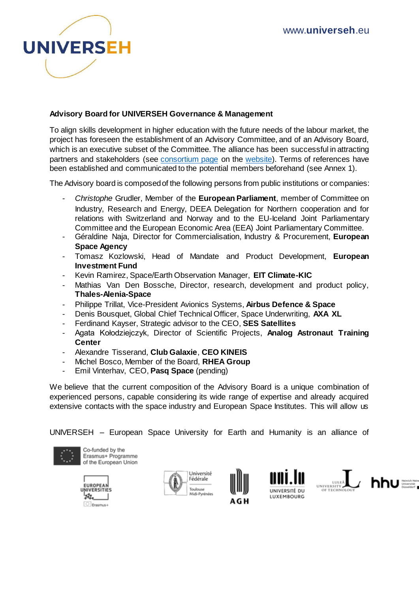

#### **Advisory Board for UNIVERSEH Governance & Management**

To align skills development in higher education with the future needs of the labour market, the project has foreseen the establishment of an Advisory Committee, and of an Advisory Board, which is an executive subset of the Committee. The alliance has been successful in attracting partners and stakeholders (see [consortium page](https://universeh.eu/the-consortium/) on the [website\)](https://universeh.eu/). Terms of references have been established and communicated to the potential members beforehand (see Annex 1).

The Advisory board is composed of the following persons from public institutions or companies:

- *Christophe* Grudler, Member of the **European Parliament**, member of Committee on Industry, Research and Energy, DEEA Delegation for Northern cooperation and for relations with Switzerland and Norway and to the EU-Iceland Joint Parliamentary Committee and the European Economic Area (EEA) Joint Parliamentary Committee.
- Géraldine Naja, Director for Commercialisation, Industry & Procurement, **European Space Agency**
- Tomasz Kozlowski, Head of Mandate and Product Development, **European Investment Fund**
- Kevin Ramirez, Space/Earth Observation Manager, **EIT Climate-KIC**
- Mathias Van Den Bossche, Director, research, development and product policy, **Thales-Alenia-Space**
- Philippe Trillat, Vice-President Avionics Systems, **Airbus Defence & Space**
- Denis Bousquet, Global Chief Technical Officer, Space Underwriting, **AXA XL**
- Ferdinand Kayser, Strategic advisor to the CEO, **SES Satellites**
- Agata Kołodziejczyk, Director of Scientific Projects, **Analog Astronaut Training Center**
- Alexandre Tisserand, **Club Galaxie**, **CEO KINEIS**
- Michel Bosco, Member of the Board, **RHEA Group**
- Emil Vinterhav, CEO, **Pasq Space** (pending)

We believe that the current composition of the Advisory Board is a unique combination of experienced persons, capable considering its wide range of expertise and already acquired extensive contacts with the space industry and European Space Institutes. This will allow us

UNIVERSEH – European Space University for Earth and Humanity is an alliance of